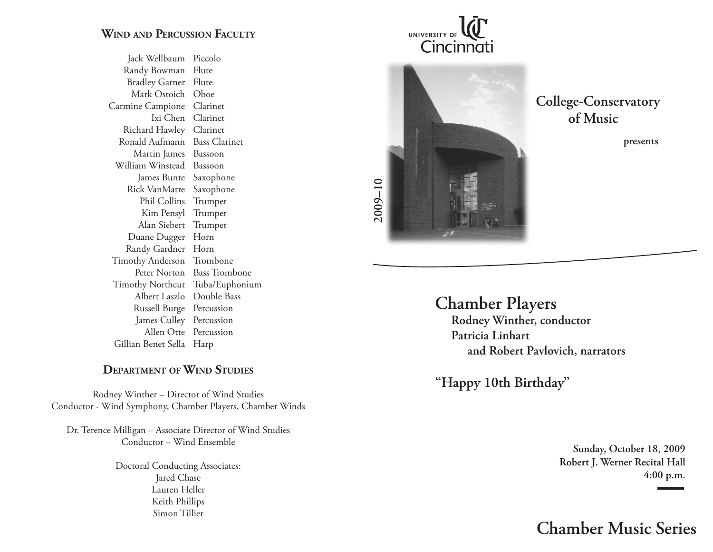## **Wind and Percussion Faculty**

Jack Wellbaum Piccolo Randy Bowman Flute **Bradley Garner** Flute Mark Ostoich Oboe Carmine Campione Clarinet Ixi Chen Clarinet Richard Hawley Clarinet Ronald Aufmann Bass Clarinet Martin James Bassoon William Winstead Bassoon James Bunte Saxophone Rick VanMatre Saxophone Phil Collins Trumpet Kim Pensyl Trumpet Alan Siebert Trumpet Duane Dugger Horn Randy Gardner Horn Timothy Anderson Trombone Peter Norton Bass Trombone Timothy Northcut Tuba/Euphonium Albert Laszlo Double Bass Russell Burge Percussion James Culley Percussion Allen Otte Percussion Gillian Benet Sella Harp

## **Department of Wind Studies**

Rodney Winther – Director of Wind Studies Conductor - Wind Symphony, Chamber Players, Chamber Winds

Dr. Terence Milligan – Associate Director of Wind Studies Conductor – Wind Ensemble

> Doctoral Conducting Associates: Jared Chase Lauren Heller Keith Phillips Simon Tillier

UNIVERSITY OF Cincinnati



 **College-Conservatory of Music**

**Chamber Players Rodney Winther, conductor Patricia Linhart and Robert Pavlovich, narrators**

**"Happy 10th Birthday"**

**Sunday, October 18, 2009 Robert J. Werner Recital Hall 4:00 p.m.**

**Chamber Music Series**